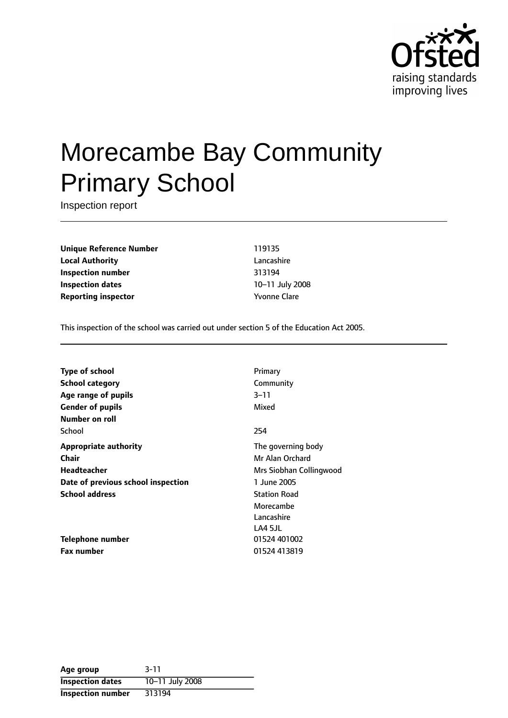

# Morecambe Bay Community Primary School

Inspection report

**Unique Reference Number** 119135 **Local Authority** Lancashire **Inspection number** 313194 **Inspection dates** 10-11 July 2008 **Reporting inspector** The Temperature of *Kyonne* Clare

This inspection of the school was carried out under section 5 of the Education Act 2005.

| Primary                 |
|-------------------------|
| Community               |
| $3 - 11$                |
| Mixed                   |
|                         |
| 254                     |
| The governing body      |
| Mr Alan Orchard         |
| Mrs Siobhan Collingwood |
| 1 June 2005             |
| <b>Station Road</b>     |
| Morecambe               |
| Lancashire              |
| LA4 5JL                 |
| 01524 401002            |
| 01524 413819            |
|                         |

| Age group                | $3 - 11$        |
|--------------------------|-----------------|
| <b>Inspection dates</b>  | 10-11 July 2008 |
| <b>Inspection number</b> | 313194          |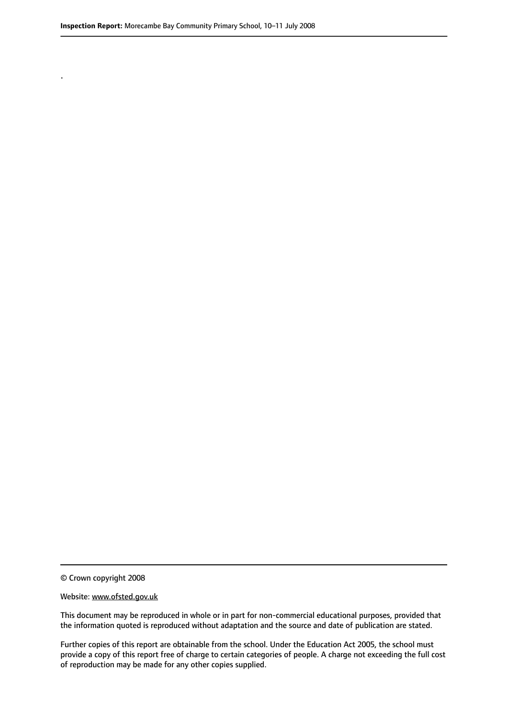.

© Crown copyright 2008

#### Website: www.ofsted.gov.uk

This document may be reproduced in whole or in part for non-commercial educational purposes, provided that the information quoted is reproduced without adaptation and the source and date of publication are stated.

Further copies of this report are obtainable from the school. Under the Education Act 2005, the school must provide a copy of this report free of charge to certain categories of people. A charge not exceeding the full cost of reproduction may be made for any other copies supplied.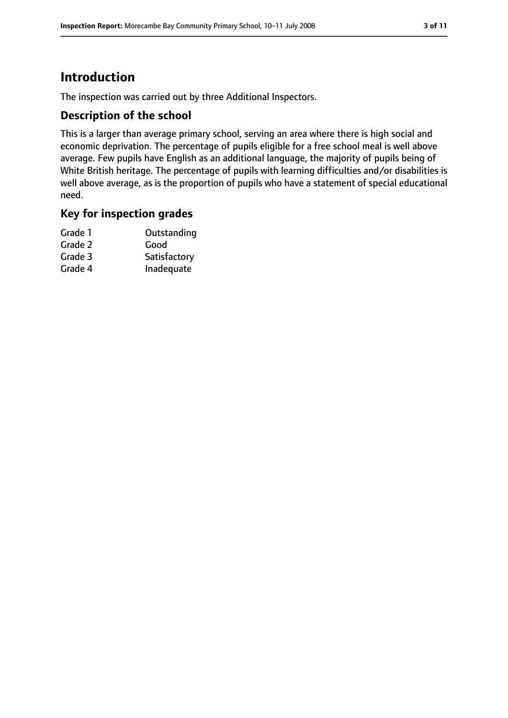# **Introduction**

The inspection was carried out by three Additional Inspectors.

#### **Description of the school**

This is a larger than average primary school, serving an area where there is high social and economic deprivation. The percentage of pupils eligible for a free school meal is well above average. Few pupils have English as an additional language, the majority of pupils being of White British heritage. The percentage of pupils with learning difficulties and/or disabilities is well above average, as is the proportion of pupils who have a statement of special educational need.

#### **Key for inspection grades**

| Grade 1 | Outstanding  |
|---------|--------------|
| Grade 2 | Good         |
| Grade 3 | Satisfactory |
| Grade 4 | Inadequate   |
|         |              |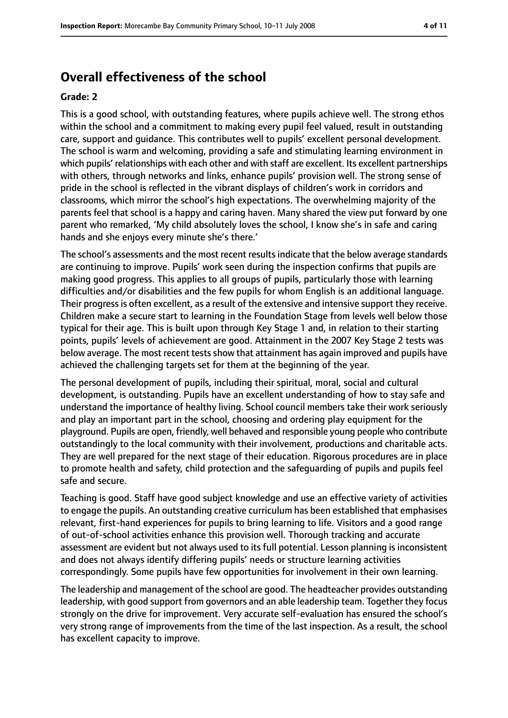## **Overall effectiveness of the school**

#### **Grade: 2**

This is a good school, with outstanding features, where pupils achieve well. The strong ethos within the school and a commitment to making every pupil feel valued, result in outstanding care, support and guidance. This contributes well to pupils' excellent personal development. The school is warm and welcoming, providing a safe and stimulating learning environment in which pupils' relationships with each other and with staff are excellent. Its excellent partnerships with others, through networks and links, enhance pupils' provision well. The strong sense of pride in the school is reflected in the vibrant displays of children's work in corridors and classrooms, which mirror the school's high expectations. The overwhelming majority of the parents feel that school is a happy and caring haven. Many shared the view put forward by one parent who remarked, 'My child absolutely loves the school, I know she's in safe and caring hands and she enjoys every minute she's there.'

The school's assessments and the most recent results indicate that the below average standards are continuing to improve. Pupils' work seen during the inspection confirms that pupils are making good progress. This applies to all groups of pupils, particularly those with learning difficulties and/or disabilities and the few pupils for whom English is an additional language. Their progressis often excellent, as a result of the extensive and intensive support they receive. Children make a secure start to learning in the Foundation Stage from levels well below those typical for their age. This is built upon through Key Stage 1 and, in relation to their starting points, pupils' levels of achievement are good. Attainment in the 2007 Key Stage 2 tests was below average. The most recent tests show that attainment has again improved and pupils have achieved the challenging targets set for them at the beginning of the year.

The personal development of pupils, including their spiritual, moral, social and cultural development, is outstanding. Pupils have an excellent understanding of how to stay safe and understand the importance of healthy living. School council members take their work seriously and play an important part in the school, choosing and ordering play equipment for the playground. Pupils are open, friendly, well behaved and responsible young people who contribute outstandingly to the local community with their involvement, productions and charitable acts. They are well prepared for the next stage of their education. Rigorous procedures are in place to promote health and safety, child protection and the safeguarding of pupils and pupils feel safe and secure.

Teaching is good. Staff have good subject knowledge and use an effective variety of activities to engage the pupils. An outstanding creative curriculum has been established that emphasises relevant, first-hand experiences for pupils to bring learning to life. Visitors and a good range of out-of-school activities enhance this provision well. Thorough tracking and accurate assessment are evident but not always used to its full potential. Lesson planning is inconsistent and does not always identify differing pupils' needs or structure learning activities correspondingly. Some pupils have few opportunities for involvement in their own learning.

The leadership and management of the school are good. The headteacher provides outstanding leadership, with good support from governors and an able leadership team. Together they focus strongly on the drive for improvement. Very accurate self-evaluation has ensured the school's very strong range of improvements from the time of the last inspection. As a result, the school has excellent capacity to improve.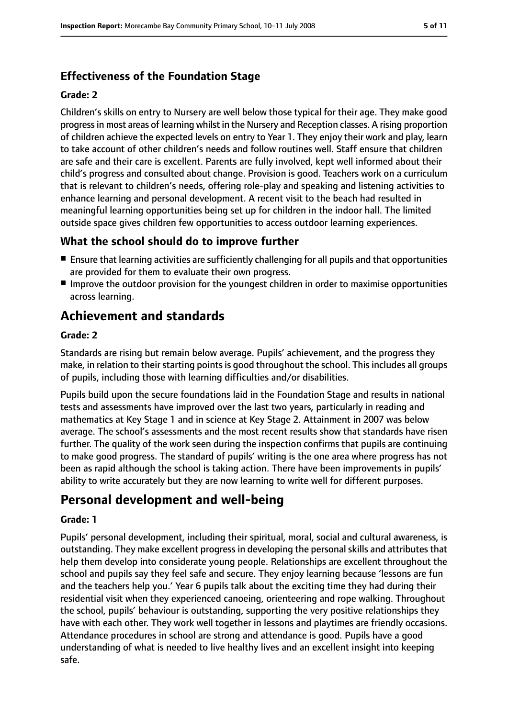## **Effectiveness of the Foundation Stage**

#### **Grade: 2**

Children's skills on entry to Nursery are well below those typical for their age. They make good progressin most areas of learning whilst in the Nursery and Reception classes. A rising proportion of children achieve the expected levels on entry to Year 1. They enjoy their work and play, learn to take account of other children's needs and follow routines well. Staff ensure that children are safe and their care is excellent. Parents are fully involved, kept well informed about their child's progress and consulted about change. Provision is good. Teachers work on a curriculum that is relevant to children's needs, offering role-play and speaking and listening activities to enhance learning and personal development. A recent visit to the beach had resulted in meaningful learning opportunities being set up for children in the indoor hall. The limited outside space gives children few opportunities to access outdoor learning experiences.

#### **What the school should do to improve further**

- Ensure that learning activities are sufficiently challenging for all pupils and that opportunities are provided for them to evaluate their own progress.
- Improve the outdoor provision for the youngest children in order to maximise opportunities across learning.

## **Achievement and standards**

#### **Grade: 2**

Standards are rising but remain below average. Pupils' achievement, and the progress they make, in relation to their starting points is good throughout the school. This includes all groups of pupils, including those with learning difficulties and/or disabilities.

Pupils build upon the secure foundations laid in the Foundation Stage and results in national tests and assessments have improved over the last two years, particularly in reading and mathematics at Key Stage 1 and in science at Key Stage 2. Attainment in 2007 was below average. The school's assessments and the most recent results show that standards have risen further. The quality of the work seen during the inspection confirms that pupils are continuing to make good progress. The standard of pupils' writing is the one area where progress has not been as rapid although the school is taking action. There have been improvements in pupils' ability to write accurately but they are now learning to write well for different purposes.

# **Personal development and well-being**

#### **Grade: 1**

Pupils' personal development, including their spiritual, moral, social and cultural awareness, is outstanding. They make excellent progress in developing the personal skills and attributes that help them develop into considerate young people. Relationships are excellent throughout the school and pupils say they feel safe and secure. They enjoy learning because 'lessons are fun and the teachers help you.' Year 6 pupils talk about the exciting time they had during their residential visit when they experienced canoeing, orienteering and rope walking. Throughout the school, pupils' behaviour is outstanding, supporting the very positive relationships they have with each other. They work well together in lessons and playtimes are friendly occasions. Attendance procedures in school are strong and attendance is good. Pupils have a good understanding of what is needed to live healthy lives and an excellent insight into keeping safe.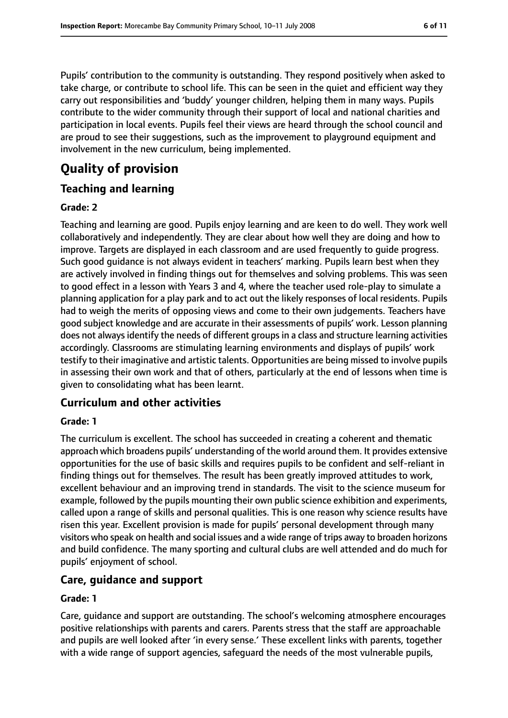Pupils' contribution to the community is outstanding. They respond positively when asked to take charge, or contribute to school life. This can be seen in the quiet and efficient way they carry out responsibilities and 'buddy' younger children, helping them in many ways. Pupils contribute to the wider community through their support of local and national charities and participation in local events. Pupils feel their views are heard through the school council and are proud to see their suggestions, such as the improvement to playground equipment and involvement in the new curriculum, being implemented.

# **Quality of provision**

## **Teaching and learning**

#### **Grade: 2**

Teaching and learning are good. Pupils enjoy learning and are keen to do well. They work well collaboratively and independently. They are clear about how well they are doing and how to improve. Targets are displayed in each classroom and are used frequently to guide progress. Such good guidance is not always evident in teachers' marking. Pupils learn best when they are actively involved in finding things out for themselves and solving problems. This was seen to good effect in a lesson with Years 3 and 4, where the teacher used role-play to simulate a planning application for a play park and to act out the likely responses of local residents. Pupils had to weigh the merits of opposing views and come to their own judgements. Teachers have good subject knowledge and are accurate in their assessments of pupils' work. Lesson planning does not always identify the needs of different groups in a class and structure learning activities accordingly. Classrooms are stimulating learning environments and displays of pupils' work testify to their imaginative and artistic talents. Opportunities are being missed to involve pupils in assessing their own work and that of others, particularly at the end of lessons when time is given to consolidating what has been learnt.

## **Curriculum and other activities**

#### **Grade: 1**

The curriculum is excellent. The school has succeeded in creating a coherent and thematic approach which broadens pupils' understanding of the world around them. It provides extensive opportunities for the use of basic skills and requires pupils to be confident and self-reliant in finding things out for themselves. The result has been greatly improved attitudes to work, excellent behaviour and an improving trend in standards. The visit to the science museum for example, followed by the pupils mounting their own public science exhibition and experiments, called upon a range of skills and personal qualities. This is one reason why science results have risen this year. Excellent provision is made for pupils' personal development through many visitors who speak on health and social issues and a wide range of trips away to broaden horizons and build confidence. The many sporting and cultural clubs are well attended and do much for pupils' enjoyment of school.

#### **Care, guidance and support**

#### **Grade: 1**

Care, guidance and support are outstanding. The school's welcoming atmosphere encourages positive relationships with parents and carers. Parents stress that the staff are approachable and pupils are well looked after 'in every sense.' These excellent links with parents, together with a wide range of support agencies, safeguard the needs of the most vulnerable pupils,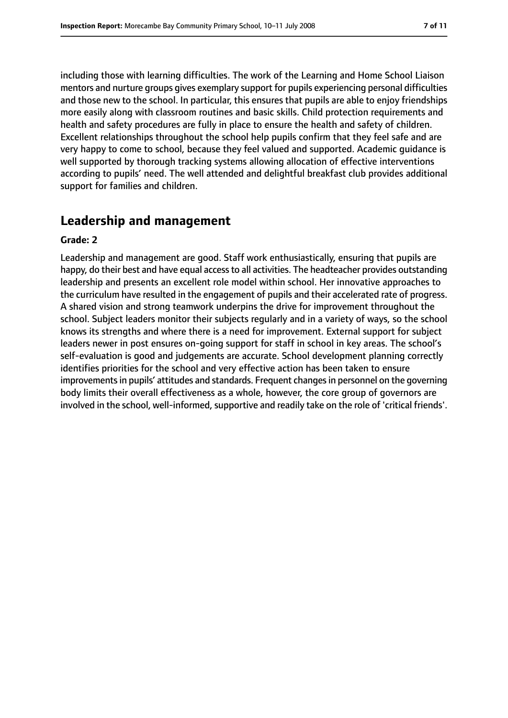including those with learning difficulties. The work of the Learning and Home School Liaison mentors and nurture groups gives exemplary support for pupils experiencing personal difficulties and those new to the school. In particular, this ensures that pupils are able to enjoy friendships more easily along with classroom routines and basic skills. Child protection requirements and health and safety procedures are fully in place to ensure the health and safety of children. Excellent relationships throughout the school help pupils confirm that they feel safe and are very happy to come to school, because they feel valued and supported. Academic guidance is well supported by thorough tracking systems allowing allocation of effective interventions according to pupils' need. The well attended and delightful breakfast club provides additional support for families and children.

## **Leadership and management**

#### **Grade: 2**

Leadership and management are good. Staff work enthusiastically, ensuring that pupils are happy, do their best and have equal access to all activities. The headteacher provides outstanding leadership and presents an excellent role model within school. Her innovative approaches to the curriculum have resulted in the engagement of pupils and their accelerated rate of progress. A shared vision and strong teamwork underpins the drive for improvement throughout the school. Subject leaders monitor their subjects regularly and in a variety of ways, so the school knows its strengths and where there is a need for improvement. External support for subject leaders newer in post ensures on-going support for staff in school in key areas. The school's self-evaluation is good and judgements are accurate. School development planning correctly identifies priorities for the school and very effective action has been taken to ensure improvements in pupils' attitudes and standards. Frequent changes in personnel on the governing body limits their overall effectiveness as a whole, however, the core group of governors are involved in the school, well-informed, supportive and readily take on the role of 'critical friends'.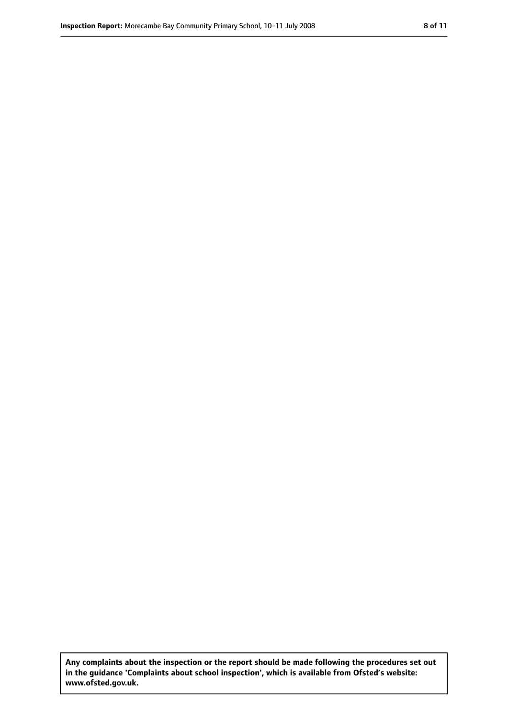**Any complaints about the inspection or the report should be made following the procedures set out in the guidance 'Complaints about school inspection', which is available from Ofsted's website: www.ofsted.gov.uk.**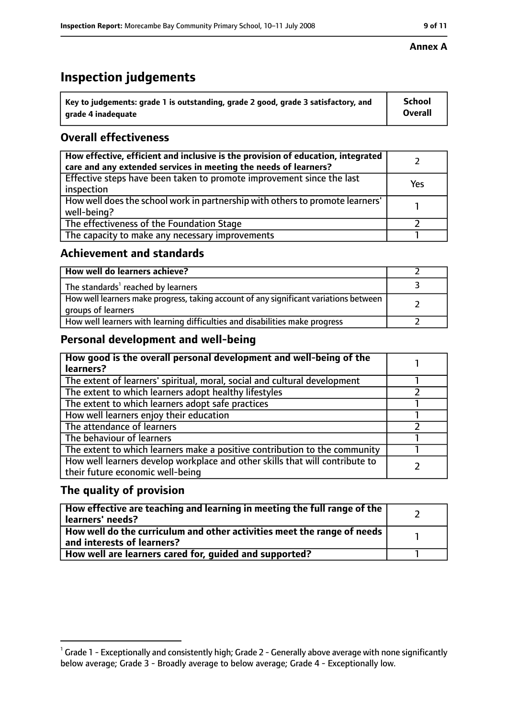# **Inspection judgements**

| $^{\backprime}$ Key to judgements: grade 1 is outstanding, grade 2 good, grade 3 satisfactory, and | <b>School</b>  |
|----------------------------------------------------------------------------------------------------|----------------|
| arade 4 inadeguate                                                                                 | <b>Overall</b> |

## **Overall effectiveness**

| How effective, efficient and inclusive is the provision of education, integrated<br>care and any extended services in meeting the needs of learners? |     |
|------------------------------------------------------------------------------------------------------------------------------------------------------|-----|
| Effective steps have been taken to promote improvement since the last<br>inspection                                                                  | Yes |
| How well does the school work in partnership with others to promote learners'<br>well-being?                                                         |     |
| The effectiveness of the Foundation Stage                                                                                                            |     |
| The capacity to make any necessary improvements                                                                                                      |     |

#### **Achievement and standards**

| How well do learners achieve?                                                                               |  |
|-------------------------------------------------------------------------------------------------------------|--|
| The standards <sup>1</sup> reached by learners                                                              |  |
| How well learners make progress, taking account of any significant variations between<br>groups of learners |  |
| How well learners with learning difficulties and disabilities make progress                                 |  |

#### **Personal development and well-being**

| How good is the overall personal development and well-being of the<br>learners?                                  |  |
|------------------------------------------------------------------------------------------------------------------|--|
| The extent of learners' spiritual, moral, social and cultural development                                        |  |
| The extent to which learners adopt healthy lifestyles                                                            |  |
| The extent to which learners adopt safe practices                                                                |  |
| How well learners enjoy their education                                                                          |  |
| The attendance of learners                                                                                       |  |
| The behaviour of learners                                                                                        |  |
| The extent to which learners make a positive contribution to the community                                       |  |
| How well learners develop workplace and other skills that will contribute to<br>their future economic well-being |  |

#### **The quality of provision**

| How effective are teaching and learning in meeting the full range of the<br>learners' needs?          |  |
|-------------------------------------------------------------------------------------------------------|--|
| How well do the curriculum and other activities meet the range of needs<br>and interests of learners? |  |
| How well are learners cared for, quided and supported?                                                |  |

#### **Annex A**

 $^1$  Grade 1 - Exceptionally and consistently high; Grade 2 - Generally above average with none significantly below average; Grade 3 - Broadly average to below average; Grade 4 - Exceptionally low.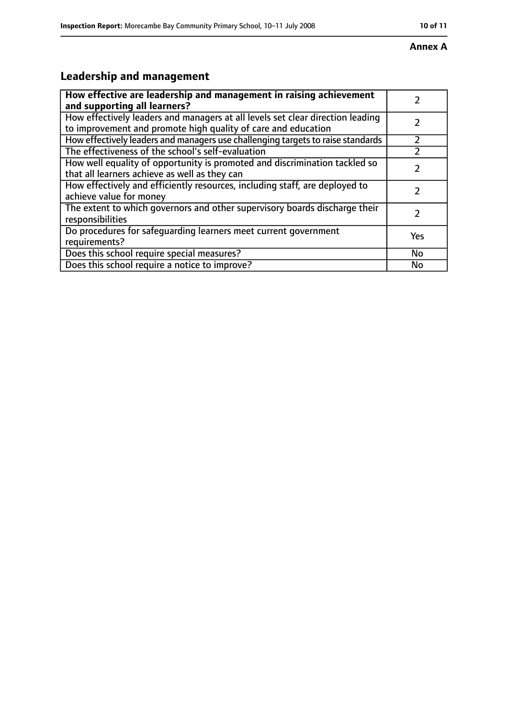#### **Annex A**

# **Leadership and management**

| How effective are leadership and management in raising achievement                                                                              |           |
|-------------------------------------------------------------------------------------------------------------------------------------------------|-----------|
| and supporting all learners?                                                                                                                    |           |
| How effectively leaders and managers at all levels set clear direction leading<br>to improvement and promote high quality of care and education |           |
| How effectively leaders and managers use challenging targets to raise standards                                                                 |           |
| The effectiveness of the school's self-evaluation                                                                                               |           |
| How well equality of opportunity is promoted and discrimination tackled so<br>that all learners achieve as well as they can                     |           |
| How effectively and efficiently resources, including staff, are deployed to<br>achieve value for money                                          | 7         |
| The extent to which governors and other supervisory boards discharge their<br>responsibilities                                                  | フ         |
| Do procedures for safequarding learners meet current government<br>requirements?                                                                | Yes       |
| Does this school require special measures?                                                                                                      | <b>No</b> |
| Does this school require a notice to improve?                                                                                                   | No        |